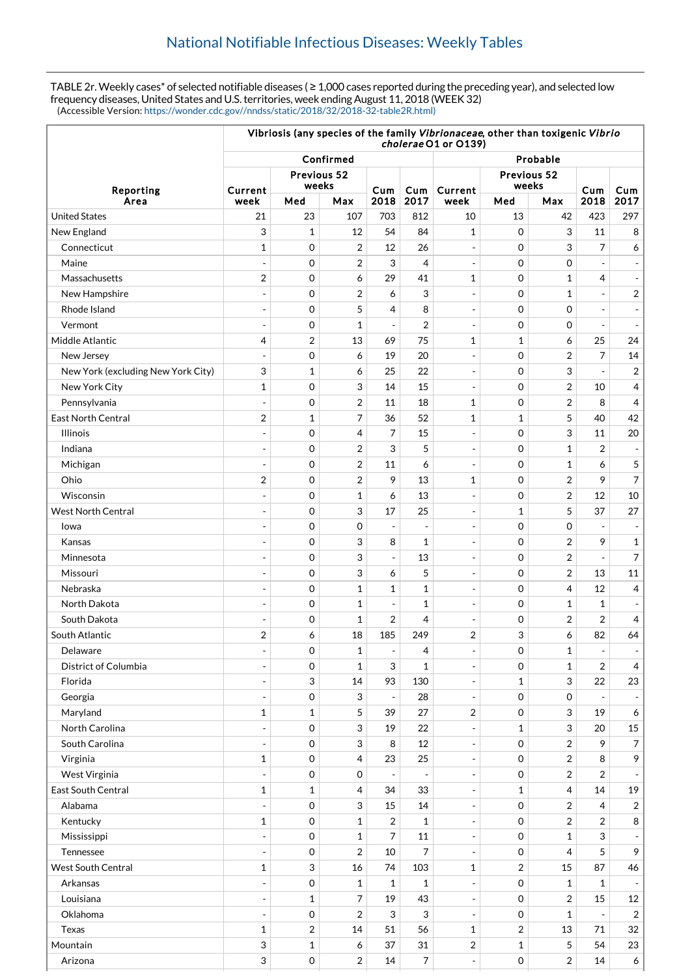TABLE 2r. Weekly cases\* of selected notifiable diseases ( ≥ 1,000 cases reported during the preceding year), and selected low frequency diseases, United States and U.S. territories, week ending August 11, 2018 (WEEK 32) (Accessible Version: [https://wonder.cdc.gov//nndss/static/2018/32/2018-32-table2R.html\)](https://wonder.cdc.gov//nndss/static/2018/32/2018-32-table2R.html)

|                                    | Vibriosis (any species of the family Vibrionaceae, other than toxigenic Vibrio<br>cholerae O1 or O139) |                           |                |                          |                          |                          |                      |                |                          |                          |
|------------------------------------|--------------------------------------------------------------------------------------------------------|---------------------------|----------------|--------------------------|--------------------------|--------------------------|----------------------|----------------|--------------------------|--------------------------|
| Reporting                          | Confirmed                                                                                              |                           |                |                          |                          |                          | Probable             |                |                          |                          |
|                                    | Current                                                                                                | Previous 52<br>weeks      |                | Cum                      | Cum                      | Current                  | Previous 52<br>weeks |                | Cum                      | Cum                      |
| Area                               | week                                                                                                   | Med                       | Max            | 2018                     | 2017                     | week                     | Med                  | Max            | 2018                     | 2017                     |
| <b>United States</b>               | 21                                                                                                     | 23                        | 107            | 703                      | 812                      | 10                       | 13                   | 42             | 423                      | 297                      |
| New England                        | 3                                                                                                      | $\mathbf{1}$              | 12             | 54                       | 84                       | 1                        | $\mathbf 0$          | 3              | 11                       | 8                        |
| Connecticut                        | 1                                                                                                      | $\mathbf 0$               | 2              | 12                       | 26                       | $\blacksquare$           | $\mathbf 0$          | 3              | 7                        | 6                        |
| Maine                              | $\overline{a}$                                                                                         | $\mathbf 0$               | 2              | 3                        | $\overline{4}$           | $\overline{\phantom{a}}$ | $\mathbf 0$          | $\mathbf 0$    |                          |                          |
| Massachusetts                      | $\overline{2}$                                                                                         | $\mathbf 0$               | 6              | 29                       | 41                       | 1                        | $\mathbf 0$          | $\mathbf{1}$   | 4                        |                          |
| New Hampshire                      | ÷                                                                                                      | $\mathbf 0$               | $\overline{2}$ | 6                        | 3                        | $\overline{\phantom{a}}$ | $\mathbf 0$          | $\mathbf{1}$   | $\overline{a}$           | $\overline{\mathbf{c}}$  |
| Rhode Island                       | $\overline{a}$                                                                                         | $\mathbf 0$               | 5              | 4                        | 8                        | $\overline{\phantom{a}}$ | $\mathbf 0$          | $\mathbf 0$    | $\overline{a}$           |                          |
| Vermont                            |                                                                                                        | $\mathbf 0$               | $\mathbf{1}$   | $\overline{a}$           | 2                        | $\blacksquare$           | $\mathbf 0$          | $\mathbf 0$    | $\overline{a}$           |                          |
| Middle Atlantic                    | $\overline{4}$                                                                                         | $\overline{2}$            | 13             | 69                       | 75                       | $\mathbf 1$              | $\mathbf{1}$         | 6              | 25                       | 24                       |
| New Jersey                         |                                                                                                        | $\mathbf 0$               | 6              | 19                       | 20                       |                          | $\mathbf 0$          | $\overline{2}$ | 7                        | 14                       |
| New York (excluding New York City) | 3                                                                                                      | $\mathbf{1}$              | 6              | 25                       | 22                       | $\overline{\phantom{a}}$ | $\mathbf 0$          | 3              |                          | $\overline{c}$           |
| New York City                      | $\mathbf{1}$                                                                                           | $\mathbf 0$               | 3              | 14                       | 15                       | $\blacksquare$           | $\mathbf 0$          | $\overline{2}$ | 10                       | 4                        |
| Pennsylvania                       | $\overline{a}$                                                                                         | $\mathbf 0$               | 2              | 11                       | 18                       | 1                        | $\mathbf 0$          | 2              | 8                        | 4                        |
| <b>East North Central</b>          | $\overline{2}$                                                                                         | $\mathbf{1}$              | 7              | 36                       | 52                       | $\mathbf 1$              | 1                    | 5              | 40                       | 42                       |
| <b>Illinois</b>                    | $\overline{a}$                                                                                         | $\mathbf 0$               | 4              | 7                        | 15                       | $\overline{\phantom{a}}$ | $\mathbf 0$          | 3              | 11                       | 20                       |
| Indiana                            | $\overline{\phantom{a}}$                                                                               | $\mathbf 0$               | $\overline{2}$ | 3                        | 5                        | $\overline{a}$           | $\mathbf 0$          | 1              | 2                        |                          |
| Michigan                           | $\overline{a}$                                                                                         | $\mathbf 0$               | $\overline{2}$ | 11                       | 6                        | $\overline{\phantom{a}}$ | $\mathbf 0$          | $\mathbf{1}$   | 6                        | 5                        |
| Ohio                               | $\overline{2}$                                                                                         | $\mathbf 0$               | $\overline{2}$ | 9                        | 13                       | $\mathbf 1$              | $\mathbf 0$          | $\overline{2}$ | 9                        | $\overline{7}$           |
| Wisconsin                          | $\overline{a}$                                                                                         | $\mathbf 0$               | $\mathbf{1}$   | 6                        | 13                       | $\overline{a}$           | $\mathbf 0$          | $\overline{2}$ | 12                       | 10                       |
| <b>West North Central</b>          |                                                                                                        | $\mathbf 0$               | 3              | 17                       | 25                       | $\overline{\phantom{a}}$ | 1                    | 5              | 37                       | 27                       |
| Iowa                               |                                                                                                        | $\mathbf 0$               | 0              |                          |                          | $\overline{\phantom{a}}$ | $\mathbf 0$          | $\mathbf 0$    |                          |                          |
| Kansas                             | $\overline{\phantom{a}}$                                                                               | $\mathbf 0$               | 3              | 8                        | $\mathbf{1}$             | $\overline{\phantom{a}}$ | $\mathbf 0$          | $\overline{2}$ | 9                        | $\mathbf{1}$             |
| Minnesota                          |                                                                                                        | $\mathbf 0$               | 3              | $\overline{a}$           | 13                       | $\overline{a}$           | $\mathbf 0$          | $\overline{2}$ |                          | $\overline{7}$           |
| Missouri                           | ÷                                                                                                      | 0                         | 3              | 6                        | 5                        | $\overline{\phantom{a}}$ | $\mathbf 0$          | $\overline{2}$ | 13                       | 11                       |
| Nebraska                           |                                                                                                        | $\mathbf 0$               | $\mathbf{1}$   | 1                        | $\mathbf{1}$             | $\overline{a}$           | $\mathbf 0$          | 4              | 12                       | 4                        |
| North Dakota                       | ÷                                                                                                      | $\mathbf 0$               | $\mathbf{1}$   | $\overline{\phantom{a}}$ | $\mathbf{1}$             | $\overline{\phantom{a}}$ | $\mathbf 0$          | 1              | $\mathbf{1}$             |                          |
| South Dakota                       | $\overline{a}$                                                                                         | 0                         | $\mathbf{1}$   | 2                        | 4                        | ÷,                       | $\mathbf 0$          | 2              | $\overline{2}$           | 4                        |
| South Atlantic                     | $\overline{2}$                                                                                         | 6                         | 18             | 185                      | 249                      | $\overline{2}$           | 3                    | 6              | 82                       | 64                       |
| Delaware                           | $\overline{\phantom{a}}$                                                                               | 0                         | 1              | $\overline{\phantom{a}}$ | 4                        | $\overline{\phantom{a}}$ | 0                    | 1              | $\overline{\phantom{a}}$ | $\overline{\phantom{a}}$ |
| District of Columbia               |                                                                                                        | $\mathbf 0$               | $\mathbf{1}$   | 3                        | $\mathbf{1}$             | $\overline{\phantom{a}}$ | $\mathbf 0$          | $\mathbf{1}$   | $\overline{2}$           | 4                        |
| Florida                            | $\overline{a}$                                                                                         | 3                         | 14             | 93                       | 130                      | ÷,                       | $\mathbf{1}$         | 3              | 22                       | 23                       |
| Georgia                            | $\overline{a}$                                                                                         | $\mathbf 0$               | 3              | $\overline{\phantom{a}}$ | 28                       | $\overline{\phantom{a}}$ | 0                    | 0              |                          |                          |
| Maryland                           | $\mathbf 1$                                                                                            | $\mathbf{1}$              | 5              | 39                       | 27                       | 2                        | 0                    | 3              | 19                       | 6                        |
| North Carolina                     |                                                                                                        | $\mathbf 0$               | 3              | 19                       | 22                       |                          | $\mathbf{1}$         | 3              | 20                       | 15                       |
| South Carolina                     | $\overline{\phantom{a}}$                                                                               | 0                         | 3              | 8                        | 12                       | $\overline{\phantom{a}}$ | 0                    | $\overline{2}$ | 9                        | $\overline{7}$           |
| Virginia                           | $\mathbf{1}$                                                                                           | 0                         | 4              | 23                       | 25                       | $\overline{\phantom{a}}$ | 0                    | 2              | 8                        | 9                        |
| West Virginia                      | $\overline{\phantom{a}}$                                                                               | $\mathbf 0$               | 0              | $\overline{\phantom{a}}$ | $\overline{\phantom{a}}$ | $\overline{\phantom{a}}$ | 0                    | 2              | 2                        |                          |
| East South Central                 | 1                                                                                                      | $\mathbf{1}$              | 4              | 34                       | 33                       | $\overline{a}$           | 1                    | 4              | 14                       | 19                       |
| Alabama                            | $\overline{a}$                                                                                         | $\mathbf 0$               | 3              | 15                       | 14                       | $\overline{\phantom{a}}$ | $\mathbf 0$          | $\overline{2}$ | 4                        | 2                        |
| Kentucky                           | $\mathbf{1}$                                                                                           | 0                         | $\mathbf{1}$   | $\overline{2}$           | $\mathbf{1}$             | $\overline{a}$           | 0                    | $\overline{2}$ | $\overline{2}$           | 8                        |
| Mississippi                        | $\blacksquare$                                                                                         | 0                         | $\mathbf{1}$   | 7                        | 11                       | $\overline{\phantom{a}}$ | 0                    | $\mathbf 1$    | 3                        |                          |
| Tennessee                          |                                                                                                        | 0                         | $\overline{2}$ | 10                       | 7                        | $\sim$                   | $\mathbf 0$          | 4              | 5                        | 9                        |
| <b>West South Central</b>          | $\mathbf{1}$                                                                                           | $\ensuremath{\mathsf{3}}$ | 16             | 74                       | 103                      | $\mathbf 1$              | $\overline{2}$       | 15             | 87                       | 46                       |
| Arkansas                           |                                                                                                        | $\mathbf 0$               | $\mathbf{1}$   | $\mathbf{1}$             | $\mathbf{1}$             |                          | 0                    | $\mathbf{1}$   | $\mathbf{1}$             |                          |
| Louisiana                          | $\overline{a}$                                                                                         | $\mathbf 1$               | 7              | 19                       | 43                       | $\overline{\phantom{a}}$ | 0                    | $\overline{2}$ | 15                       | 12                       |
| Oklahoma                           | $\blacksquare$                                                                                         | 0                         | 2              | 3                        | 3                        | $\overline{\phantom{a}}$ | 0                    | $\mathbf 1$    | $\overline{\phantom{a}}$ | $\sqrt{2}$               |
| Texas                              | 1                                                                                                      | $\overline{2}$            | 14             | 51                       | 56                       | 1                        | $\overline{2}$       | 13             | 71                       | 32                       |
| Mountain                           | 3                                                                                                      | $\mathbf 1$               | 6              | 37                       | 31                       | $\overline{c}$           | $\mathbf{1}$         | 5              | 54                       | 23                       |
| Arizona                            | 3                                                                                                      | 0                         | 2              | 14                       | 7                        | $\overline{a}$           | 0                    | 2              | 14                       | 6                        |
|                                    |                                                                                                        |                           |                |                          |                          |                          |                      |                |                          |                          |